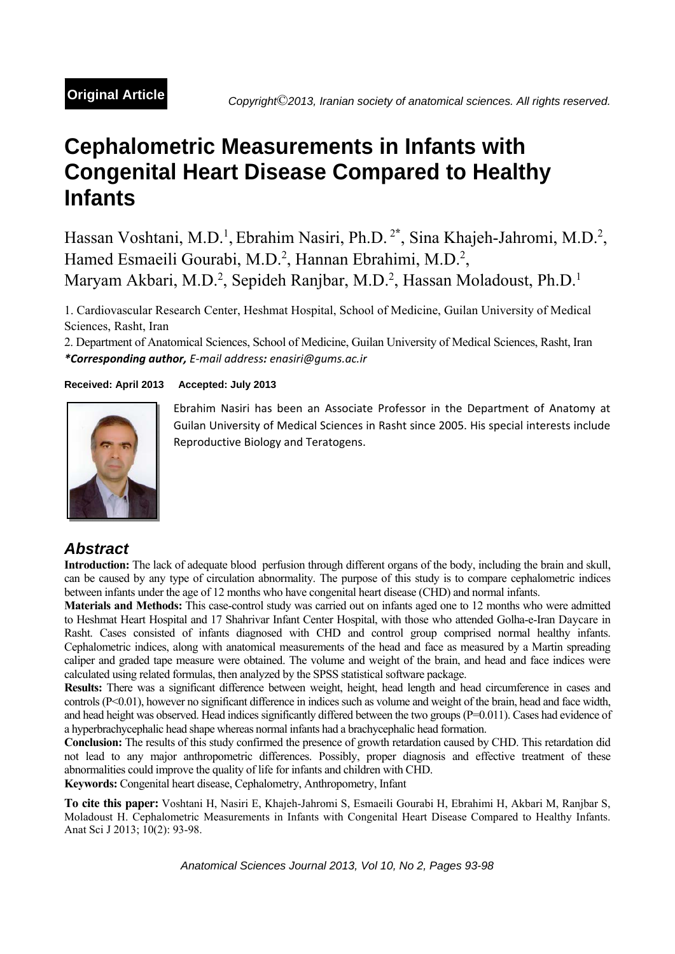### **Original Article**

# **Cephalometric Measurements in Infants with Congenital Heart Disease Compared to Healthy Infants**

Hassan Voshtani, M.D.<sup>1</sup>, Ebrahim Nasiri, Ph.D.<sup>2\*</sup>, Sina Khajeh-Jahromi, M.D.<sup>2</sup>, Hamed Esmaeili Gourabi, M.D.<sup>2</sup>, Hannan Ebrahimi, M.D.<sup>2</sup>, Maryam Akbari, M.D.<sup>2</sup>, Sepideh Ranjbar, M.D.<sup>2</sup>, Hassan Moladoust, Ph.D.<sup>1</sup>

1. Cardiovascular Research Center, Heshmat Hospital, School of Medicine, Guilan University of Medical Sciences, Rasht, Iran

2. Department of Anatomical Sciences, School of Medicine, Guilan University of Medical Sciences, Rasht, Iran *\*Corresponding author, E‐mail address: enasiri@gums.ac.ir*

**Received: April 2013 Accepted: July 2013** 



Ebrahim Nasiri has been an Associate Professor in the Department of Anatomy at Guilan University of Medical Sciences in Rasht since 2005. His special interests include Reproductive Biology and Teratogens.

## *Abstract*

**Introduction:** The lack of adequate blood perfusion through different organs of the body, including the brain and skull, can be caused by any type of circulation abnormality. The purpose of this study is to compare cephalometric indices between infants under the age of 12 months who have congenital heart disease (CHD) and normal infants.

**Materials and Methods:** This case-control study was carried out on infants aged one to 12 months who were admitted to Heshmat Heart Hospital and 17 Shahrivar Infant Center Hospital, with those who attended Golha-e-Iran Daycare in Rasht. Cases consisted of infants diagnosed with CHD and control group comprised normal healthy infants. Cephalometric indices, along with anatomical measurements of the head and face as measured by a Martin spreading caliper and graded tape measure were obtained. The volume and weight of the brain, and head and face indices were calculated using related formulas, then analyzed by the SPSS statistical software package.

**Results:** There was a significant difference between weight, height, head length and head circumference in cases and controls (P<0.01), however no significant difference in indices such as volume and weight of the brain, head and face width, and head height was observed. Head indices significantly differed between the two groups (P=0.011). Cases had evidence of a hyperbrachycephalic head shape whereas normal infants had a brachycephalic head formation.

**Conclusion:** The results of this study confirmed the presence of growth retardation caused by CHD. This retardation did not lead to any major anthropometric differences. Possibly, proper diagnosis and effective treatment of these abnormalities could improve the quality of life for infants and children with CHD.

**Keywords:** Congenital heart disease, Cephalometry, Anthropometry, Infant

**To cite this paper:** Voshtani H, Nasiri E, Khajeh-Jahromi S, Esmaeili Gourabi H, Ebrahimi H, Akbari M, Ranjbar S, Moladoust H. Cephalometric Measurements in Infants with Congenital Heart Disease Compared to Healthy Infants. Anat Sci J 2013; 10(2): 93-98.

*Anatomical Sciences Journal 2013, Vol 10, No 2, Pages 93-98*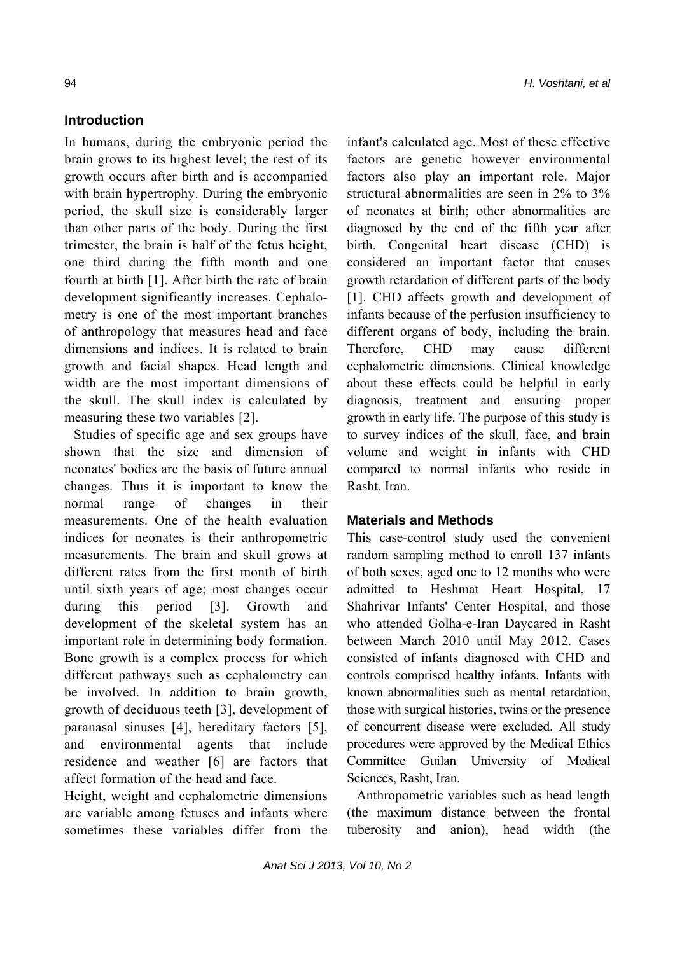#### **Introduction**

In humans, during the embryonic period the brain grows to its highest level; the rest of its growth occurs after birth and is accompanied with brain hypertrophy. During the embryonic period, the skull size is considerably larger than other parts of the body. During the first trimester, the brain is half of the fetus height, one third during the fifth month and one fourth at birth [1]. After birth the rate of brain development significantly increases. Cephalometry is one of the most important branches of anthropology that measures head and face dimensions and indices. It is related to brain growth and facial shapes. Head length and width are the most important dimensions of the skull. The skull index is calculated by measuring these two variables [2].

Studies of specific age and sex groups have shown that the size and dimension of neonates' bodies are the basis of future annual changes. Thus it is important to know the normal range of changes in their measurements. One of the health evaluation indices for neonates is their anthropometric measurements. The brain and skull grows at different rates from the first month of birth until sixth years of age; most changes occur during this period [3]. Growth and development of the skeletal system has an important role in determining body formation. Bone growth is a complex process for which different pathways such as cephalometry can be involved. In addition to brain growth, growth of deciduous teeth [3], development of paranasal sinuses [4], hereditary factors [5], and environmental agents that include residence and weather [6] are factors that affect formation of the head and face.

Height, weight and cephalometric dimensions are variable among fetuses and infants where sometimes these variables differ from the

infant's calculated age. Most of these effective factors are genetic however environmental factors also play an important role. Major structural abnormalities are seen in 2% to 3% of neonates at birth; other abnormalities are diagnosed by the end of the fifth year after birth. Congenital heart disease (CHD) is considered an important factor that causes growth retardation of different parts of the body [1]. CHD affects growth and development of infants because of the perfusion insufficiency to different organs of body, including the brain. Therefore, CHD may cause different cephalometric dimensions. Clinical knowledge about these effects could be helpful in early diagnosis, treatment and ensuring proper growth in early life. The purpose of this study is to survey indices of the skull, face, and brain volume and weight in infants with CHD compared to normal infants who reside in Rasht, Iran.

#### **Materials and Methods**

This case-control study used the convenient random sampling method to enroll 137 infants of both sexes, aged one to 12 months who were admitted to Heshmat Heart Hospital, 17 Shahrivar Infants' Center Hospital, and those who attended Golha-e-Iran Daycared in Rasht between March 2010 until May 2012. Cases consisted of infants diagnosed with CHD and controls comprised healthy infants. Infants with known abnormalities such as mental retardation, those with surgical histories, twins or the presence of concurrent disease were excluded. All study procedures were approved by the Medical Ethics Committee Guilan University of Medical Sciences, Rasht, Iran.

Anthropometric variables such as head length (the maximum distance between the frontal tuberosity and anion), head width (the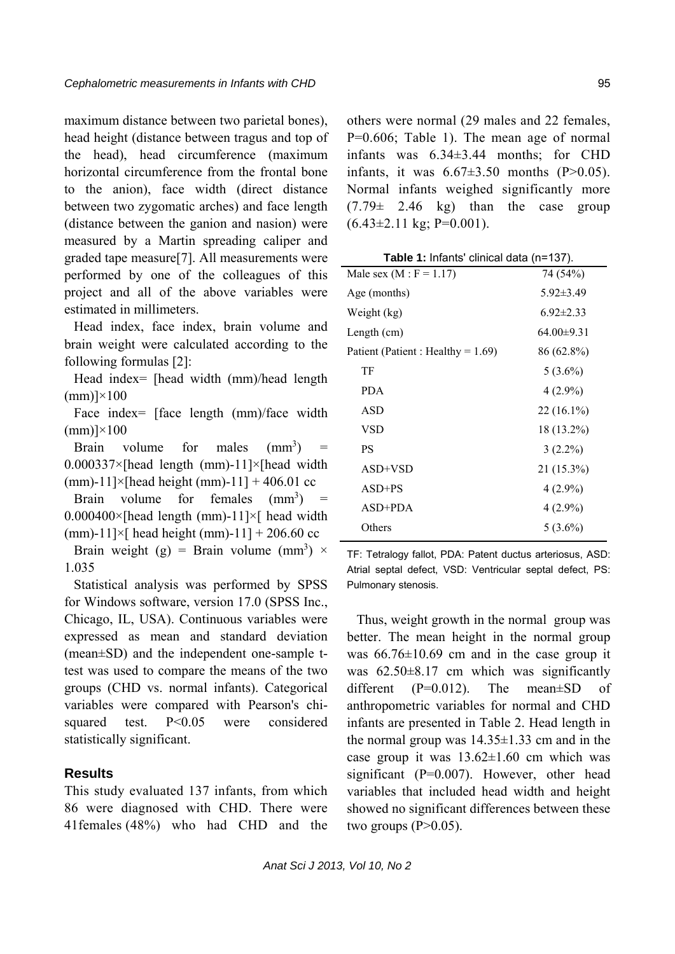maximum distance between two parietal bones), head height (distance between tragus and top of the head), head circumference (maximum horizontal circumference from the frontal bone to the anion), face width (direct distance between two zygomatic arches) and face length (distance between the ganion and nasion) were measured by a Martin spreading caliper and graded tape measure[7]. All measurements were performed by one of the colleagues of this project and all of the above variables were estimated in millimeters.

Head index, face index, brain volume and brain weight were calculated according to the following formulas [2]:

Head index= [head width (mm)/head length  $(mm)$ ]×100

Face index= [face length (mm)/face width  $(mm)$  $\times$ 100

Brain volume for males  $\text{(mm)}^3$ )  $\equiv$ 0.000337×[head length (mm)-11]×[head width (mm)-11] $\times$ [head height (mm)-11] + 406.01 cc

Brain volume for females  $\text{(mm}^3)$  =  $0.000400\times$ [head length (mm)-11] $\times$ [ head width (mm)-11] $\times$ [ head height (mm)-11] + 206.60 cc

Brain weight (g) = Brain volume (mm<sup>3</sup>)  $\times$ 1.035

Statistical analysis was performed by SPSS for Windows software, version 17.0 (SPSS Inc., Chicago, IL, USA). Continuous variables were expressed as mean and standard deviation (mean±SD) and the independent one-sample ttest was used to compare the means of the two groups (CHD vs. normal infants). Categorical variables were compared with Pearson's chisquared test. P<0.05 were considered statistically significant.

#### **Results**

This study evaluated 137 infants, from which 86 were diagnosed with CHD. There were 41females (48%) who had CHD and the

others were normal (29 males and 22 females, P=0.606; Table 1). The mean age of normal infants was 6.34±3.44 months; for CHD infants, it was  $6.67 \pm 3.50$  months  $(P>0.05)$ . Normal infants weighed significantly more  $(7.79 \pm 2.46 \text{ kg})$  than the case group  $(6.43\pm2.11 \text{ kg}; \text{P}=0.001)$ .

| Table 1: Infants' clinical data (n=137). |  |  |  |  |  |
|------------------------------------------|--|--|--|--|--|
|------------------------------------------|--|--|--|--|--|

| Male sex $(M : F = 1.17)$             | 74 (54%)         |
|---------------------------------------|------------------|
| Age (months)                          | $5.92 \pm 3.49$  |
| Weight (kg)                           | $6.92 \pm 2.33$  |
| Length (cm)                           | $64.00 \pm 9.31$ |
| Patient (Patient : Healthy = $1.69$ ) | 86 (62.8%)       |
| TF                                    | $5(3.6\%)$       |
| PDA                                   | $4(2.9\%)$       |
| ASD                                   | $22(16.1\%)$     |
| VSD                                   | 18 (13.2%)       |
| <b>PS</b>                             | $3(2.2\%)$       |
| $ASD+VSD$                             | 21 (15.3%)       |
| $ASD+PS$                              | $4(2.9\%)$       |
| ASD+PDA                               | $4(2.9\%)$       |
| Others                                | $5(3.6\%)$       |
|                                       |                  |

TF: Tetralogy fallot, PDA: Patent ductus arteriosus, ASD: Atrial septal defect, VSD: Ventricular septal defect, PS: Pulmonary stenosis.

Thus, weight growth in the normal group was better. The mean height in the normal group was 66.76±10.69 cm and in the case group it was  $62.50\pm8.17$  cm which was significantly different (P=0.012). The mean±SD of anthropometric variables for normal and CHD infants are presented in Table 2. Head length in the normal group was  $14.35 \pm 1.33$  cm and in the case group it was  $13.62 \pm 1.60$  cm which was significant (P=0.007). However, other head variables that included head width and height showed no significant differences between these two groups  $(P>0.05)$ .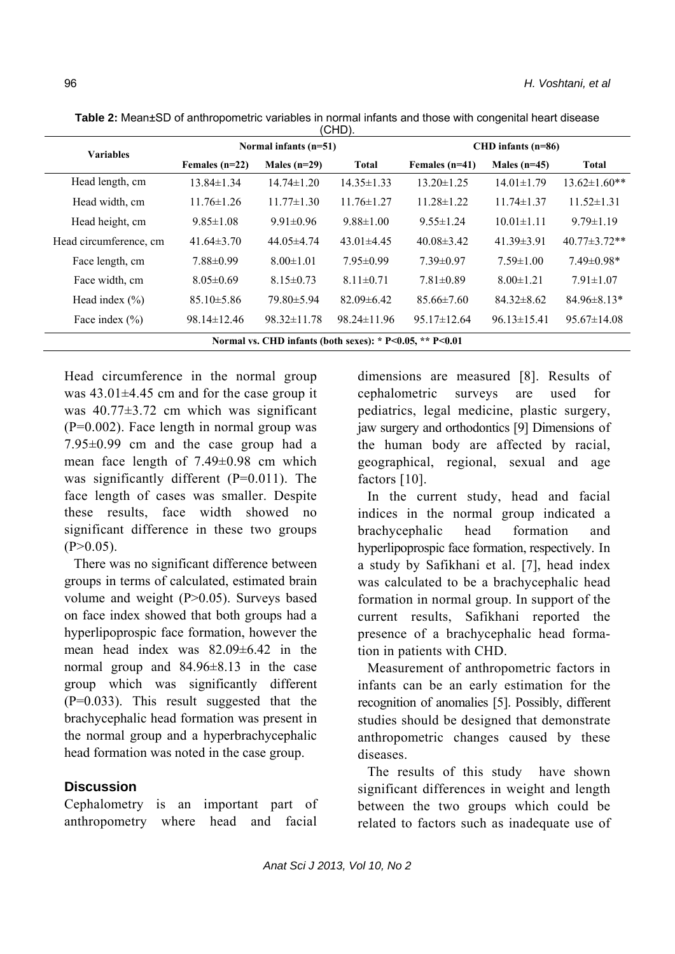| Table 2. Mean ESD of antihopolitetric variables in Homial Imarits and those with congenital fiealt disease.<br>(CHD). |                         |                  |                  |                          |                  |                    |  |  |  |  |
|-----------------------------------------------------------------------------------------------------------------------|-------------------------|------------------|------------------|--------------------------|------------------|--------------------|--|--|--|--|
| <b>Variables</b>                                                                                                      | Normal infants $(n=51)$ |                  |                  | $CHD$ infants ( $n=86$ ) |                  |                    |  |  |  |  |
|                                                                                                                       | Females $(n=22)$        | Males $(n=29)$   | Total            | Females $(n=41)$         | Males $(n=45)$   | <b>Total</b>       |  |  |  |  |
| Head length, cm                                                                                                       | $13.84 \pm 1.34$        | $14.74 \pm 1.20$ | $14.35 \pm 1.33$ | $13.20 \pm 1.25$         | $14.01 \pm 1.79$ | $13.62 \pm 1.60**$ |  |  |  |  |
| Head width, cm                                                                                                        | $11.76 \pm 1.26$        | $11.77 \pm 1.30$ | $11.76 \pm 1.27$ | $11.28 \pm 1.22$         | $11.74 \pm 1.37$ | $11.52 \pm 1.31$   |  |  |  |  |
| Head height, cm                                                                                                       | $9.85 \pm 1.08$         | $9.91 \pm 0.96$  | $9.88 \pm 1.00$  | $9.55 \pm 1.24$          | $10.01 \pm 1.11$ | $9.79 \pm 1.19$    |  |  |  |  |
| Head circumference, cm                                                                                                | $41.64\pm3.70$          | $44.05\pm4.74$   | $43.01\pm4.45$   | $40.08\pm3.42$           | $41.39\pm3.91$   | $40.77 \pm 3.72**$ |  |  |  |  |
| Face length, cm                                                                                                       | $7.88 \pm 0.99$         | $8.00 \pm 1.01$  | $7.95 \pm 0.99$  | $7.39\pm0.97$            | $7.59 \pm 1.00$  | $7.49 \pm 0.98*$   |  |  |  |  |

**Table 2:** Mean±SD of anthropometric variables in normal infants and those with congenital heart disease

Face width, cm 8.05±0.69 8.15±0.73 8.11±0.71 7.81±0.89 8.00±1.21 7.91±1.07 Head index (%) 85.10±5.86 79.80±5.94 82.09±6.42 85.66±7.60 84.32±8.62 84.96±8.13\* Face index (%) 98.14±12.46 98.32±11.78 98.24±11.96 95.17±12.64 96.13±15.41 95.67±14.08

**Normal vs. CHD infants (both sexes): \* P<0.05, \*\* P<0.01** 

Head circumference in the normal group was 43.01±4.45 cm and for the case group it was 40.77±3.72 cm which was significant (P=0.002). Face length in normal group was 7.95±0.99 cm and the case group had a mean face length of 7.49±0.98 cm which was significantly different (P=0.011). The face length of cases was smaller. Despite these results, face width showed no significant difference in these two groups  $(P>0.05)$ .

There was no significant difference between groups in terms of calculated, estimated brain volume and weight (P>0.05). Surveys based on face index showed that both groups had a hyperlipoprospic face formation, however the mean head index was 82.09±6.42 in the normal group and 84.96±8.13 in the case group which was significantly different (P=0.033). This result suggested that the brachycephalic head formation was present in the normal group and a hyperbrachycephalic head formation was noted in the case group.

#### **Discussion**

Cephalometry is an important part of anthropometry where head and facial dimensions are measured [8]. Results of cephalometric surveys are used for pediatrics, legal medicine, plastic surgery, jaw surgery and orthodontics [9] Dimensions of the human body are affected by racial, geographical, regional, sexual and age factors [10].

In the current study, head and facial indices in the normal group indicated a brachycephalic head formation and hyperlipoprospic face formation, respectively. In a study by Safikhani et al. [7], head index was calculated to be a brachycephalic head formation in normal group. In support of the current results, Safikhani reported the presence of a brachycephalic head formation in patients with CHD.

Measurement of anthropometric factors in infants can be an early estimation for the recognition of anomalies [5]. Possibly, different studies should be designed that demonstrate anthropometric changes caused by these diseases.

The results of this study have shown significant differences in weight and length between the two groups which could be related to factors such as inadequate use of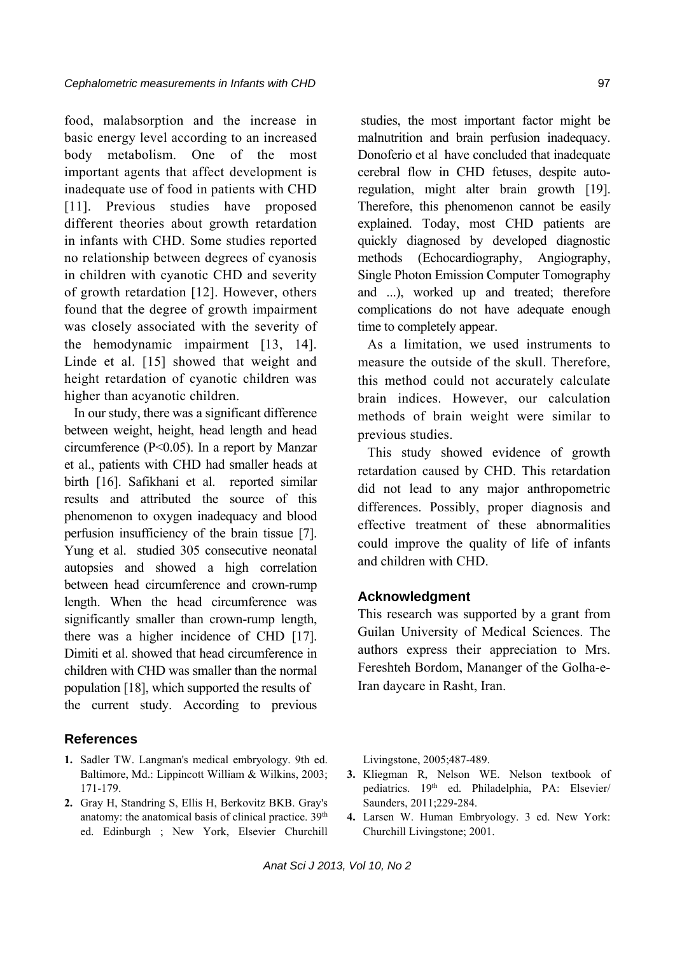food, malabsorption and the increase in basic energy level according to an increased body metabolism. One of the most important agents that affect development is inadequate use of food in patients with CHD [11]. Previous studies have proposed different theories about growth retardation in infants with CHD. Some studies reported no relationship between degrees of cyanosis in children with cyanotic CHD and severity of growth retardation [12]. However, others found that the degree of growth impairment was closely associated with the severity of the hemodynamic impairment [13, 14]. Linde et al. [15] showed that weight and height retardation of cyanotic children was higher than acyanotic children.

In our study, there was a significant difference between weight, height, head length and head circumference (P<0.05). In a report by Manzar et al., patients with CHD had smaller heads at birth [16]. Safikhani et al. reported similar results and attributed the source of this phenomenon to oxygen inadequacy and blood perfusion insufficiency of the brain tissue [7]. Yung et al. studied 305 consecutive neonatal autopsies and showed a high correlation between head circumference and crown-rump length. When the head circumference was significantly smaller than crown-rump length, there was a higher incidence of CHD [17]. Dimiti et al. showed that head circumference in children with CHD was smaller than the normal population [18], which supported the results of the current study. According to previous

#### **References**

- **1.** Sadler TW. Langman's medical embryology. 9th ed. Baltimore, Md.: Lippincott William & Wilkins, 2003; 171-179.
- **2.** Gray H, Standring S, Ellis H, Berkovitz BKB. Gray's anatomy: the anatomical basis of clinical practice. 39th ed. Edinburgh ; New York, Elsevier Churchill

 studies, the most important factor might be malnutrition and brain perfusion inadequacy. Donoferio et al have concluded that inadequate cerebral flow in CHD fetuses, despite autoregulation, might alter brain growth [19]. Therefore, this phenomenon cannot be easily explained. Today, most CHD patients are quickly diagnosed by developed diagnostic methods (Echocardiography, Angiography, Single Photon Emission Computer Tomography and ...), worked up and treated; therefore complications do not have adequate enough time to completely appear.

As a limitation, we used instruments to measure the outside of the skull. Therefore, this method could not accurately calculate brain indices. However, our calculation methods of brain weight were similar to previous studies.

This study showed evidence of growth retardation caused by CHD. This retardation did not lead to any major anthropometric differences. Possibly, proper diagnosis and effective treatment of these abnormalities could improve the quality of life of infants and children with CHD.

#### **Acknowledgment**

This research was supported by a grant from Guilan University of Medical Sciences. The authors express their appreciation to Mrs. Fereshteh Bordom, Mananger of the Golha-e-Iran daycare in Rasht, Iran.

Livingstone, 2005;487-489.

- **3.** Kliegman R, Nelson WE. Nelson textbook of pediatrics. 19<sup>th</sup> ed. Philadelphia, PA: Elsevier/ Saunders, 2011;229-284.
- **4.** Larsen W. Human Embryology. 3 ed. New York: Churchill Livingstone; 2001.

*Anat Sci J 2013, Vol 10, No 2*